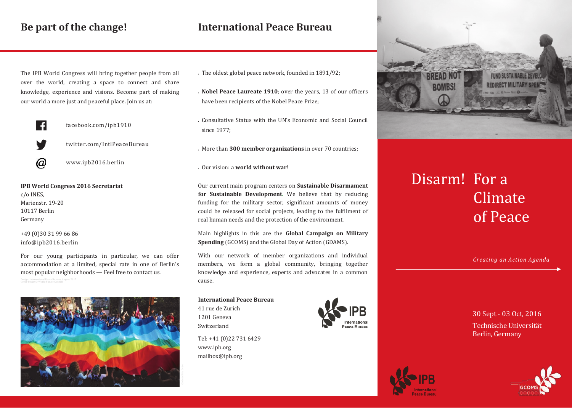## **International Peace Bureau**

The IPB World Congress will bring together people from all over the world, creating a space to connect and share knowledge, experience and visions. Become part of making our world a more just and peaceful place. Join us at:



facebook.com/ipb1910

twitter.com/IntlPeaceBureau



www.ipb2016.berlin

**IPB World Congress 2016 Secretariat** c/o INES, Marienstr. 19-20 10117 Berlin Germany

+49 (0)30 31 99 66 86 info@ipb2016.berlin

For our young participants in particular, we can offer accommodation at a limited, special rate in one of Berlin's most popular neighborhoods — Feel free to contact us.



- The oldest global peace network, founded in 1891/92;
- **Nobel Peace Laureate 1910**; over the years, 13 of our officers have been recipients of the Nobel Peace Prize;
- Consultative Status with the UN's Economic and Social Council since 1977;
- More than **300 member organizations** in over 70 countries;

Our vision: a **world without war**!

Our current main program centers on **Sustainable Disarmament for Sustainable Development**. We believe that by reducing funding for the military sector, significant amounts of money could be released for social projects, leading to the fulfilment of real human needs and the protection of the environment.

Main highlights in this are the **Global Campaign on Military Spending** (GCOMS) and the Global Day of Action (GDAMS).

With our network of member organizations and individual members, we form a global community, bringing together knowledge and experience, experts and advocates in a common cause.

**International Peace Bureau** 41 rue de Zurich 1201 Geneva

Switzerland

Tel: +41 (0)22 731 6429 www.ipb.org mailbox@ipb.org





## Disarm! For a Climate of Peace

*Creating an Action Agenda*

30 Sept - 03 Oct, 2016 Technische Universität Berlin, Germany